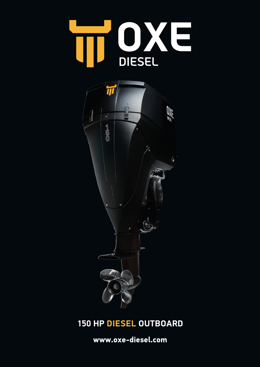



## **150 HP DIESEL OUTBOARD**

**www.oxe-diesel.com**